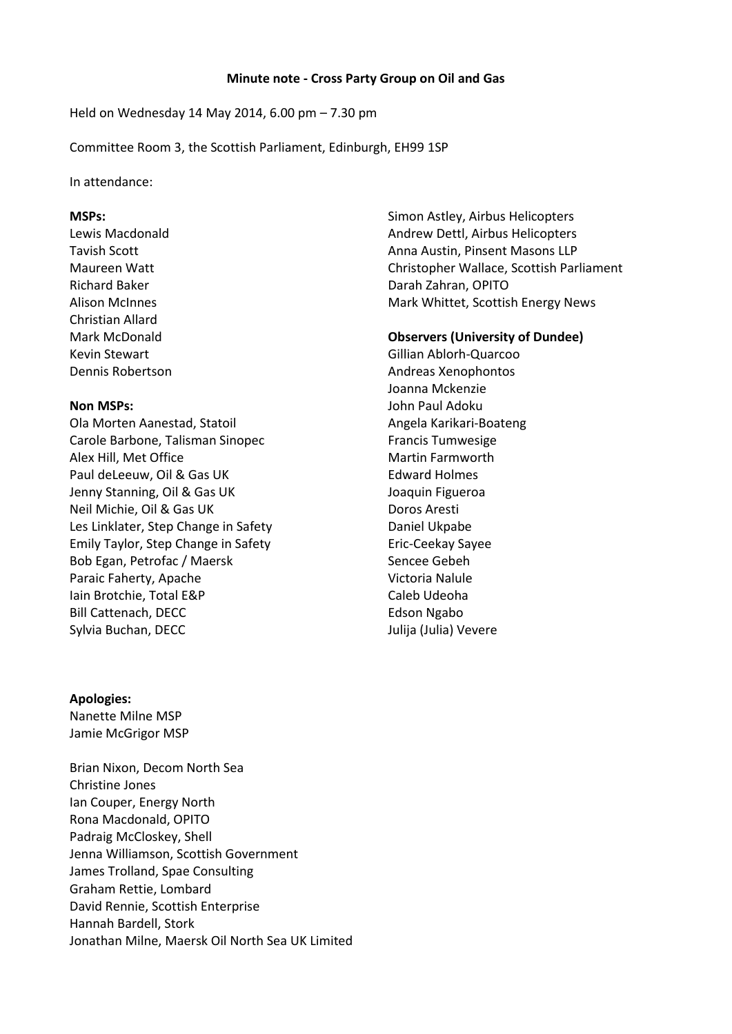Held on Wednesday 14 May 2014, 6.00 pm – 7.30 pm

Committee Room 3, the Scottish Parliament, Edinburgh, EH99 1SP

In attendance:

## **MSPs:**

Lewis Macdonald Tavish Scott Maureen Watt Richard Baker Alison McInnes Christian Allard Mark McDonald Kevin Stewart Dennis Robertson

## **Non MSPs:**

Ola Morten Aanestad, Statoil Carole Barbone, Talisman Sinopec Alex Hill, Met Office Paul deLeeuw, Oil & Gas UK Jenny Stanning, Oil & Gas UK Neil Michie, Oil & Gas UK Les Linklater, Step Change in Safety Emily Taylor, Step Change in Safety Bob Egan, Petrofac / Maersk Paraic Faherty, Apache Iain Brotchie, Total E&P Bill Cattenach, DECC Sylvia Buchan, DECC

## **Apologies:**

Nanette Milne MSP Jamie McGrigor MSP

Brian Nixon, Decom North Sea Christine Jones Ian Couper, Energy North Rona Macdonald, OPITO Padraig McCloskey, Shell Jenna Williamson, Scottish Government James Trolland, Spae Consulting Graham Rettie, Lombard David Rennie, Scottish Enterprise Hannah Bardell, Stork Jonathan Milne, Maersk Oil North Sea UK Limited Simon Astley, Airbus Helicopters Andrew Dettl, Airbus Helicopters Anna Austin, Pinsent Masons LLP Christopher Wallace, Scottish Parliament Darah Zahran, OPITO Mark Whittet, Scottish Energy News

## **Observers (University of Dundee)**

Gillian Ablorh-Quarcoo Andreas Xenophontos Joanna Mckenzie John Paul Adoku Angela Karikari-Boateng Francis Tumwesige Martin Farmworth Edward Holmes Joaquin Figueroa Doros Aresti Daniel Ukpabe Eric-Ceekay Sayee Sencee Gebeh Victoria Nalule Caleb Udeoha Edson Ngabo Julija (Julia) Vevere